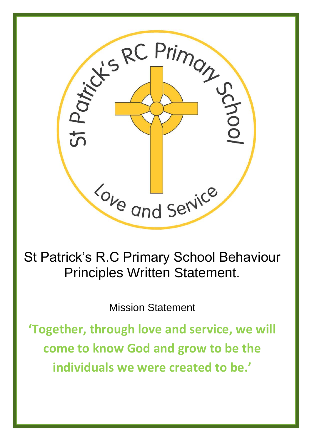

St Patrick's R.C Primary School Behaviour Principles Written Statement.

Mission Statement

**'Together, through love and service, we will come to know God and grow to be the individuals we were created to be.'**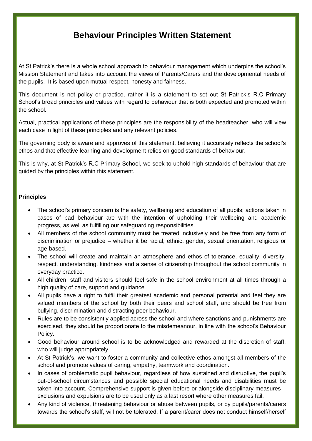## **Behaviour Principles Written Statement**

At St Patrick's there is a whole school approach to behaviour management which underpins the school's Mission Statement and takes into account the views of Parents/Carers and the developmental needs of the pupils. It is based upon mutual respect, honesty and fairness.

This document is not policy or practice, rather it is a statement to set out St Patrick's R.C Primary School's broad principles and values with regard to behaviour that is both expected and promoted within the school.

Actual, practical applications of these principles are the responsibility of the headteacher, who will view each case in light of these principles and any relevant policies.

The governing body is aware and approves of this statement, believing it accurately reflects the school's ethos and that effective learning and development relies on good standards of behaviour.

This is why, at St Patrick's R.C Primary School, we seek to uphold high standards of behaviour that are guided by the principles within this statement.

## **Principles**

- The school's primary concern is the safety, wellbeing and education of all pupils; actions taken in cases of bad behaviour are with the intention of upholding their wellbeing and academic progress, as well as fulfilling our safeguarding responsibilities.
- All members of the school community must be treated inclusively and be free from any form of discrimination or prejudice – whether it be racial, ethnic, gender, sexual orientation, religious or age-based.
- The school will create and maintain an atmosphere and ethos of tolerance, equality, diversity, respect, understanding, kindness and a sense of citizenship throughout the school community in everyday practice.
- All children, staff and visitors should feel safe in the school environment at all times through a high quality of care, support and guidance.
- All pupils have a right to fulfil their greatest academic and personal potential and feel they are valued members of the school by both their peers and school staff, and should be free from bullying, discrimination and distracting peer behaviour.
- Rules are to be consistently applied across the school and where sanctions and punishments are exercised, they should be proportionate to the misdemeanour, in line with the school's Behaviour Policy.
- Good behaviour around school is to be acknowledged and rewarded at the discretion of staff, who will judge appropriately.
- At St Patrick's, we want to foster a community and collective ethos amongst all members of the school and promote values of caring, empathy, teamwork and coordination.
- In cases of problematic pupil behaviour, regardless of how sustained and disruptive, the pupil's out-of-school circumstances and possible special educational needs and disabilities must be taken into account. Comprehensive support is given before or alongside disciplinary measures – exclusions and expulsions are to be used only as a last resort where other measures fail.
- Any kind of violence, threatening behaviour or abuse between pupils, or by pupils/parents/carers towards the school's staff, will not be tolerated. If a parent/carer does not conduct himself/herself